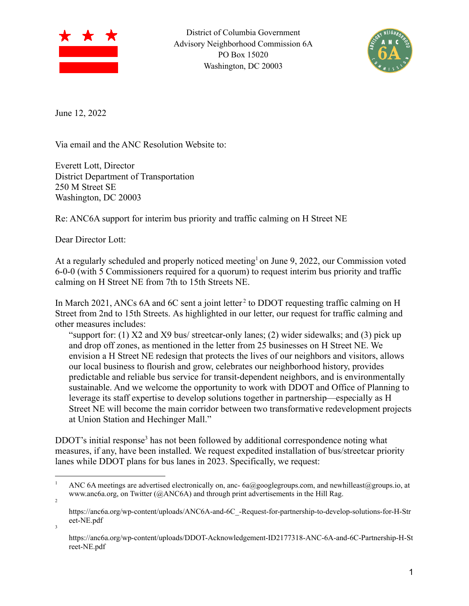

District of Columbia Government Advisory Neighborhood Commission 6A PO Box 15020 Washington, DC 20003



June 12, 2022

Via email and the ANC Resolution Website to:

Everett Lott, Director District Department of Transportation 250 M Street SE Washington, DC 20003

Re: ANC6A support for interim bus priority and traffic calming on H Street NE

Dear Director Lott:

3

At a regularly scheduled and properly noticed meeting<sup>1</sup> on June 9, 2022, our Commission voted 6-0-0 (with 5 Commissioners required for a quorum) to request interim bus priority and traffic calming on H Street NE from 7th to 15th Streets NE.

In March 2021, ANCs 6A and 6C sent a joint letter<sup>2</sup> to DDOT requesting traffic calming on H Street from 2nd to 15th Streets. As highlighted in our letter, our request for traffic calming and other measures includes:

"support for: (1) X2 and X9 bus/ streetcar-only lanes; (2) wider sidewalks; and (3) pick up and drop off zones, as mentioned in the letter from 25 businesses on H Street NE. We envision a H Street NE redesign that protects the lives of our neighbors and visitors, allows our local business to flourish and grow, celebrates our neighborhood history, provides predictable and reliable bus service for transit-dependent neighbors, and is environmentally sustainable. And we welcome the opportunity to work with DDOT and Office of Planning to leverage its staff expertise to develop solutions together in partnership—especially as H Street NE will become the main corridor between two transformative redevelopment projects at Union Station and Hechinger Mall."

DDOT's initial response<sup>3</sup> has not been followed by additional correspondence noting what measures, if any, have been installed. We request expedited installation of bus/streetcar priority lanes while DDOT plans for bus lanes in 2023. Specifically, we request:

<sup>2</sup> ANC 6A meetings are advertised electronically on, anc-  $6a\omega$ googlegroups.com, and newhilleast@groups.io, at www.anc6a.org, on Twitter (@ANC6A) and through print advertisements in the Hill Rag.

https://anc6a.org/wp-content/uploads/ANC6A-and-6C\_-Request-for-partnership-to-develop-solutions-for-H-Str eet-NE.pdf

https://anc6a.org/wp-content/uploads/DDOT-Acknowledgement-ID2177318-ANC-6A-and-6C-Partnership-H-St reet-NE.pdf